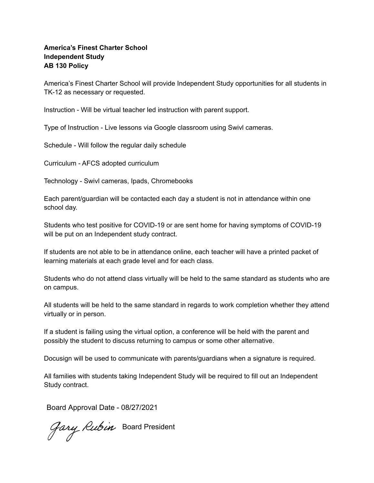## **America's Finest Charter School Independent Study AB 130 Policy**

America's Finest Charter School will provide Independent Study opportunities for all students in TK-12 as necessary or requested.

Instruction - Will be virtual teacher led instruction with parent support.

Type of Instruction - Live lessons via Google classroom using Swivl cameras.

Schedule - Will follow the regular daily schedule

Curriculum - AFCS adopted curriculum

Technology - Swivl cameras, Ipads, Chromebooks

Each parent/guardian will be contacted each day a student is not in attendance within one school day.

Students who test positive for COVID-19 or are sent home for having symptoms of COVID-19 will be put on an Independent study contract.

If students are not able to be in attendance online, each teacher will have a printed packet of learning materials at each grade level and for each class.

Students who do not attend class virtually will be held to the same standard as students who are on campus.

All students will be held to the same standard in regards to work completion whether they attend virtually or in person.

If a student is failing using the virtual option, a conference will be held with the parent and possibly the student to discuss returning to campus or some other alternative.

Docusign will be used to communicate with parents/guardians when a signature is required.

All families with students taking Independent Study will be required to fill out an Independent Study contract.

Board Approval Date - 08/27/2021

Gary Rubin Board President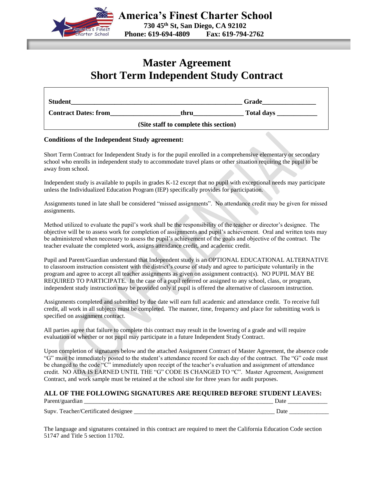

# **Master Agreement Short Term Independent Study Contract**

| <b>Student</b>              |                                       | Grade             |
|-----------------------------|---------------------------------------|-------------------|
| <b>Contract Dates: from</b> | thru                                  | <b>Total days</b> |
|                             | (Site staff to complete this section) |                   |

## **Conditions of the Independent Study agreement:**

Short Term Contract for Independent Study is for the pupil enrolled in a comprehensive elementary or secondary school who enrolls in independent study to accommodate travel plans or other situation requiring the pupil to be away from school.

Independent study is available to pupils in grades K-12 except that no pupil with exceptional needs may participate unless the Individualized Education Program (IEP) specifically provides for participation.

Assignments tuned in late shall be considered "missed assignments". No attendance credit may be given for missed assignments.

Method utilized to evaluate the pupil's work shall be the responsibility of the teacher or director's designee. The objective will be to assess work for completion of assignments and pupil's achievement. Oral and written tests may be administered when necessary to assess the pupil's achievement of the goals and objective of the contract. The teacher evaluate the completed work, assigns attendance credit, and academic credit.

Pupil and Parent/Guardian understand that Independent study is an OPTIONAL EDUCATIONAL ALTERNATIVE to classroom instruction consistent with the district's course of study and agree to participate voluntarily in the program and agree to accept all teacher assignments as given on assignment contract(s). NO PUPIL MAY BE REQUIRED TO PARTICIPATE. In the case of a pupil referred or assigned to any school, class, or program, independent study instruction may be provided only if pupil is offered the alternative of classroom instruction.

Assignments completed and submitted by due date will earn full academic and attendance credit. To receive full credit, all work in all subjects must be completed. The manner, time, frequency and place for submitting work is specified on assignment contract.

All parties agree that failure to complete this contract may result in the lowering of a grade and will require evaluation of whether or not pupil may participate in a future Independent Study Contract.

Upon completion of signatures below and the attached Assignment Contract of Master Agreement, the absence code "G" must be immediately posted to the student's attendance record for each day of the contract. The "G" code must be changed to the code "C" immediately upon receipt of the teacher's evaluation and assignment of attendance credit. NO ADA IS EARNED UNTIL THE "G" CODE IS CHANGED TO "C". Master Agreement, Assignment Contract, and work sample must be retained at the school site for three years for audit purposes.

#### **ALL OF THE FOLLOWING SIGNATURES ARE REQUIRED BEFORE STUDENT LEAVES:**

Parent/guardian \_\_\_\_\_\_\_\_\_\_\_\_\_\_\_\_\_\_\_\_\_\_\_\_\_\_\_\_\_\_\_\_\_\_\_\_\_\_\_\_\_\_\_\_\_\_\_\_\_\_\_\_\_\_\_\_\_\_\_\_\_\_ Date \_\_\_\_\_\_\_\_\_\_\_\_\_

|                                                         | ---<br>______ |
|---------------------------------------------------------|---------------|
|                                                         |               |
|                                                         |               |
| Supv.<br>erfifier"<br>эя.<br>$^{16}$<br>. а н<br>sighee |               |

The language and signatures contained in this contract are required to meet the California Education Code section 51747 and Title 5 section 11702.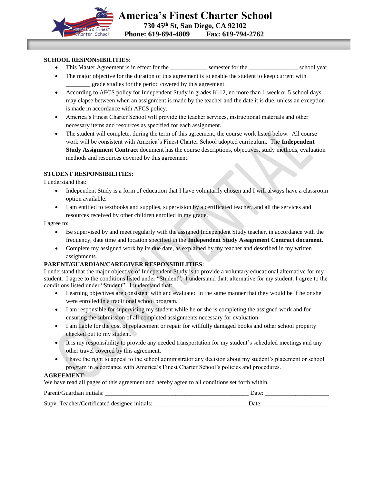

## **SCHOOL RESPONSIBILITIES**:

- This Master Agreement is in effect for the \_\_\_\_\_\_\_\_\_\_\_\_\_ semester for the \_\_\_\_\_\_\_\_\_\_\_\_\_\_\_\_\_\_ school year.
- The major objective for the duration of this agreement is to enable the student to keep current with \_\_\_\_\_\_\_\_ grade studies for the period covered by this agreement.
- According to AFCS policy for Independent Study in grades K-12, no more than 1 week or 5 school days may elapse between when an assignment is made by the teacher and the date it is due, unless an exception is made in accordance with AFCS policy.
- America's Finest Charter School will provide the teacher services, instructional materials and other necessary items and resources as specified for each assignment.
- The student will complete, during the term of this agreement, the course work listed below. All course work will be consistent with America's Finest Charter School adopted curriculum. The **Independent Study Assignment Contract** document has the course descriptions, objectives, study methods, evaluation methods and resources covered by this agreement.

## **STUDENT RESPONSIBILITIES:**

I understand that:

- Independent Study is a form of education that I have voluntarily chosen and I will always have a classroom option available.
- I am entitled to textbooks and supplies, supervision by a certificated teacher, and all the services and resources received by other children enrolled in my grade.

I agree to:

- Be supervised by and meet regularly with the assigned Independent Study teacher, in accordance with the frequency, date time and location specified in the **Independent Study Assignment Contract document.**
- Complete my assigned work by its due date, as explained by my teacher and described in my written assignments.

#### **PARENT/GUARDIAN/CAREGIVER RESPONSIBILITIES:**

I understand that the major objective of Independent Study is to provide a voluntary educational alternative for my student. I agree to the conditions listed under "Student". I understand that: alternative for my student. I agree to the conditions listed under "Student". I understand that:

- Learning objectives are consistent with and evaluated in the same manner that they would be if he or she were enrolled in a traditional school program.
- I am responsible for supervising my student while he or she is completing the assigned work and for ensuring the submission of all completed assignments necessary for evaluation.
- I am liable for the cost of replacement or repair for willfully damaged books and other school property checked out to my student.
- It is my responsibility to provide any needed transportation for my student's scheduled meetings and any other travel covered by this agreement.
- I have the right to appeal to the school administrator any decision about my student's placement or school program in accordance with America's Finest Charter School's policies and procedures.

#### **AGREEMENT:**

We have read all pages of this agreement and hereby agree to all conditions set forth within.

| Parent/C<br>Guardian initials:                     | Date              |
|----------------------------------------------------|-------------------|
| Supv. To<br>feacher/Certificated designee initials | Jate <sup>.</sup> |